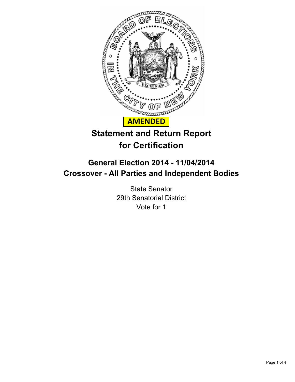

## **Statement and Return Report for Certification**

## **General Election 2014 - 11/04/2014 Crossover - All Parties and Independent Bodies**

State Senator 29th Senatorial District Vote for 1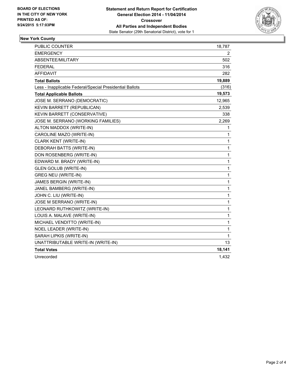

## **New York County**

| PUBLIC COUNTER                                           | 18,787 |
|----------------------------------------------------------|--------|
| <b>EMERGENCY</b>                                         | 2      |
| ABSENTEE/MILITARY                                        | 502    |
| FEDERAL                                                  | 316    |
| <b>AFFIDAVIT</b>                                         | 282    |
| <b>Total Ballots</b>                                     | 19,889 |
| Less - Inapplicable Federal/Special Presidential Ballots | (316)  |
| <b>Total Applicable Ballots</b>                          | 19,573 |
| JOSE M. SERRANO (DEMOCRATIC)                             | 12,965 |
| KEVIN BARRETT (REPUBLICAN)                               | 2,539  |
| KEVIN BARRETT (CONSERVATIVE)                             | 338    |
| JOSE M. SERRANO (WORKING FAMILIES)                       | 2,269  |
| ALTON MADDOX (WRITE-IN)                                  | 1      |
| CAROLINE MAZO (WRITE-IN)                                 | 1      |
| CLARK KENT (WRITE-IN)                                    | 1      |
| DEBORAH BATTS (WRITE-IN)                                 | 1      |
| DON ROSENBERG (WRITE-IN)                                 | 1      |
| EDWARD M. BRADY (WRITE-IN)                               | 1      |
| <b>GLEN GOLUB (WRITE-IN)</b>                             | 1      |
| <b>GREG NEU (WRITE-IN)</b>                               | 1      |
| JAMES BERGIN (WRITE-IN)                                  | 1      |
| JANEL BAMBERG (WRITE-IN)                                 | 1      |
| JOHN C. LIU (WRITE-IN)                                   | 1      |
| JOSE M SERRANO (WRITE-IN)                                | 1      |
| LEONARD RUTHKOWITZ (WRITE-IN)                            | 1      |
| LOUIS A. MALAVE (WRITE-IN)                               | 1      |
| MICHAEL VENDITTO (WRITE-IN)                              | 1      |
| NOEL LEADER (WRITE-IN)                                   | 1      |
| SARAH LIPKIS (WRITE-IN)                                  | 1      |
| UNATTRIBUTABLE WRITE-IN (WRITE-IN)                       | 13     |
| <b>Total Votes</b>                                       | 18,141 |
| Unrecorded                                               | 1,432  |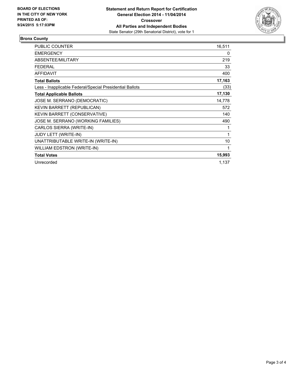

## **Bronx County**

| PUBLIC COUNTER                                           | 16,511 |
|----------------------------------------------------------|--------|
| <b>EMERGENCY</b>                                         | 0      |
| <b>ABSENTEE/MILITARY</b>                                 | 219    |
| <b>FEDERAL</b>                                           | 33     |
| <b>AFFIDAVIT</b>                                         | 400    |
| <b>Total Ballots</b>                                     | 17,163 |
| Less - Inapplicable Federal/Special Presidential Ballots | (33)   |
| <b>Total Applicable Ballots</b>                          | 17,130 |
| JOSE M. SERRANO (DEMOCRATIC)                             | 14,778 |
| KEVIN BARRETT (REPUBLICAN)                               | 572    |
| <b>KEVIN BARRETT (CONSERVATIVE)</b>                      | 140    |
| JOSE M. SERRANO (WORKING FAMILIES)                       | 490    |
| CARLOS SIERRA (WRITE-IN)                                 | 1      |
| JUDY LETT (WRITE-IN)                                     | 1      |
| UNATTRIBUTABLE WRITE-IN (WRITE-IN)                       | 10     |
| WILLIAM EDSTRON (WRITE-IN)                               | 1      |
| <b>Total Votes</b>                                       | 15,993 |
| Unrecorded                                               | 1,137  |